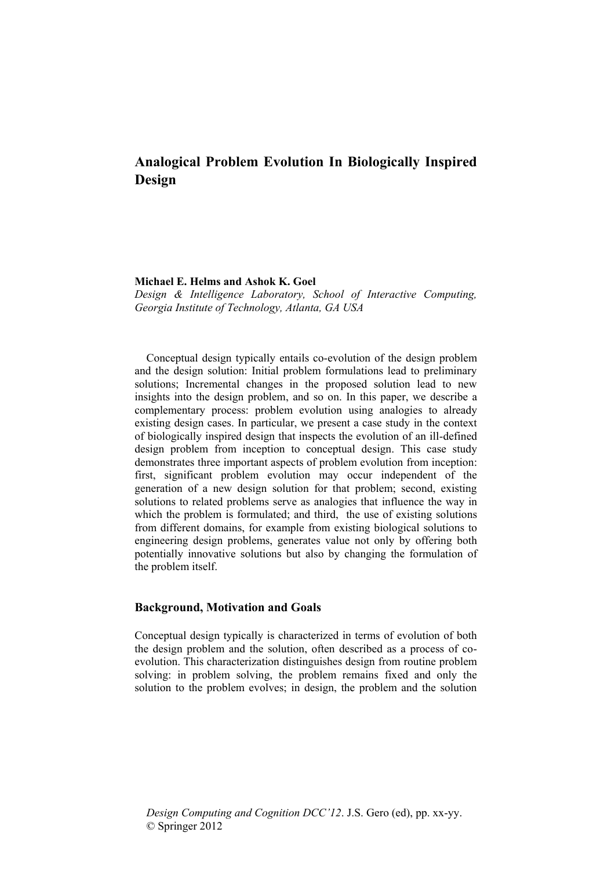## **Michael E. Helms and Ashok K. Goel**

*Design & Intelligence Laboratory, School of Interactive Computing, Georgia Institute of Technology, Atlanta, GA USA* 

Conceptual design typically entails co-evolution of the design problem and the design solution: Initial problem formulations lead to preliminary solutions; Incremental changes in the proposed solution lead to new insights into the design problem, and so on. In this paper, we describe a complementary process: problem evolution using analogies to already existing design cases. In particular, we present a case study in the context of biologically inspired design that inspects the evolution of an ill-defined design problem from inception to conceptual design. This case study demonstrates three important aspects of problem evolution from inception: first, significant problem evolution may occur independent of the generation of a new design solution for that problem; second, existing solutions to related problems serve as analogies that influence the way in which the problem is formulated; and third, the use of existing solutions from different domains, for example from existing biological solutions to engineering design problems, generates value not only by offering both potentially innovative solutions but also by changing the formulation of the problem itself.

## **Background, Motivation and Goals**

Conceptual design typically is characterized in terms of evolution of both the design problem and the solution, often described as a process of coevolution. This characterization distinguishes design from routine problem solving: in problem solving, the problem remains fixed and only the solution to the problem evolves; in design, the problem and the solution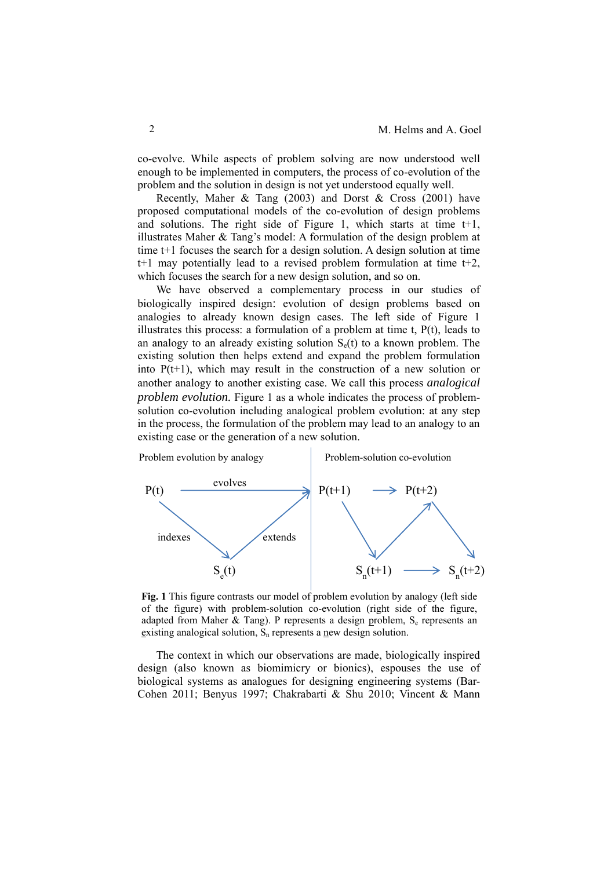co-evolve. While aspects of problem solving are now understood well enough to be implemented in computers, the process of co-evolution of the problem and the solution in design is not yet understood equally well.

Recently, Maher & Tang (2003) and Dorst & Cross (2001) have proposed computational models of the co-evolution of design problems and solutions. The right side of Figure 1, which starts at time  $t+1$ , illustrates Maher & Tang's model: A formulation of the design problem at time t+1 focuses the search for a design solution. A design solution at time t+1 may potentially lead to a revised problem formulation at time t+2, which focuses the search for a new design solution, and so on.

We have observed a complementary process in our studies of biologically inspired design: evolution of design problems based on analogies to already known design cases. The left side of Figure 1 illustrates this process: a formulation of a problem at time t, P(t), leads to an analogy to an already existing solution  $S<sub>e</sub>(t)$  to a known problem. The existing solution then helps extend and expand the problem formulation into  $P(t+1)$ , which may result in the construction of a new solution or another analogy to another existing case. We call this process *analogical problem evolution.* Figure 1 as a whole indicates the process of problemsolution co-evolution including analogical problem evolution: at any step in the process, the formulation of the problem may lead to an analogy to an existing case or the generation of a new solution.



**Fig. 1** This figure contrasts our model of problem evolution by analogy (left side of the figure) with problem-solution co-evolution (right side of the figure, adapted from Maher & Tang). P represents a design problem, Se represents an existing analogical solution,  $S_n$  represents a new design solution.

The context in which our observations are made, biologically inspired design (also known as biomimicry or bionics), espouses the use of biological systems as analogues for designing engineering systems (Bar-Cohen 2011; Benyus 1997; Chakrabarti & Shu 2010; Vincent & Mann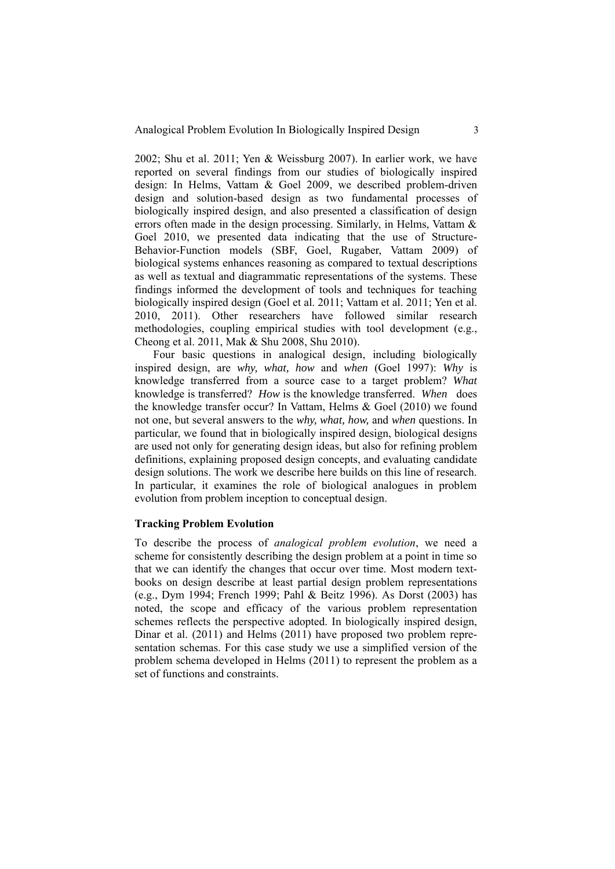2002; Shu et al. 2011; Yen & Weissburg 2007). In earlier work, we have reported on several findings from our studies of biologically inspired design: In Helms, Vattam & Goel 2009, we described problem-driven design and solution-based design as two fundamental processes of biologically inspired design, and also presented a classification of design errors often made in the design processing. Similarly, in Helms, Vattam & Goel 2010, we presented data indicating that the use of Structure-Behavior-Function models (SBF, Goel, Rugaber, Vattam 2009) of biological systems enhances reasoning as compared to textual descriptions as well as textual and diagrammatic representations of the systems. These findings informed the development of tools and techniques for teaching biologically inspired design (Goel et al. 2011; Vattam et al. 2011; Yen et al. 2010, 2011). Other researchers have followed similar research methodologies, coupling empirical studies with tool development (e.g., Cheong et al. 2011, Mak & Shu 2008, Shu 2010).

Four basic questions in analogical design, including biologically inspired design, are *why, what, how* and *when* (Goel 1997): *Why* is knowledge transferred from a source case to a target problem? *What* knowledge is transferred? *How* is the knowledge transferred. *When* does the knowledge transfer occur? In Vattam, Helms & Goel (2010) we found not one, but several answers to the *why, what, how,* and *when* questions. In particular, we found that in biologically inspired design, biological designs are used not only for generating design ideas, but also for refining problem definitions, explaining proposed design concepts, and evaluating candidate design solutions. The work we describe here builds on this line of research. In particular, it examines the role of biological analogues in problem evolution from problem inception to conceptual design.

## **Tracking Problem Evolution**

To describe the process of *analogical problem evolution*, we need a scheme for consistently describing the design problem at a point in time so that we can identify the changes that occur over time. Most modern textbooks on design describe at least partial design problem representations (e.g., Dym 1994; French 1999; Pahl & Beitz 1996). As Dorst (2003) has noted, the scope and efficacy of the various problem representation schemes reflects the perspective adopted. In biologically inspired design, Dinar et al. (2011) and Helms (2011) have proposed two problem representation schemas. For this case study we use a simplified version of the problem schema developed in Helms (2011) to represent the problem as a set of functions and constraints.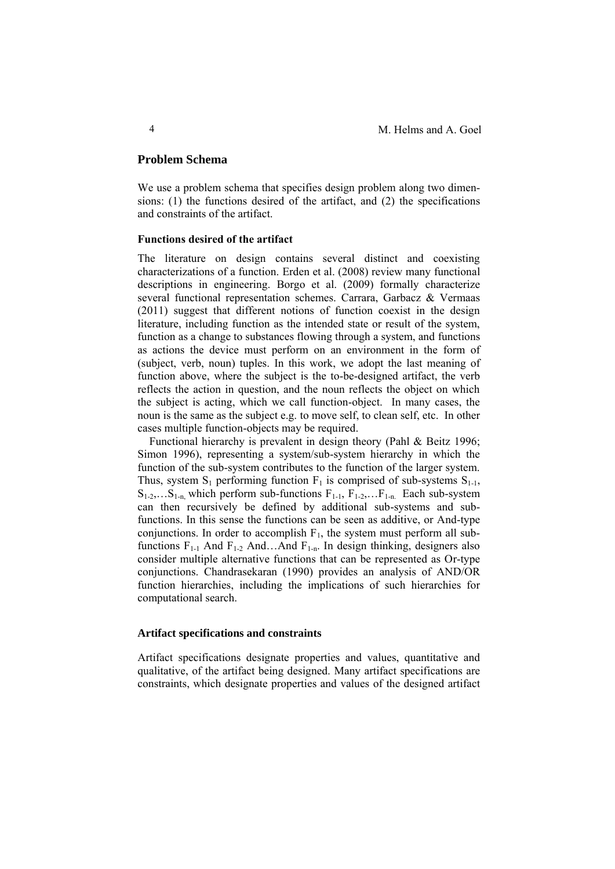## **Problem Schema**

We use a problem schema that specifies design problem along two dimensions: (1) the functions desired of the artifact, and (2) the specifications and constraints of the artifact.

## **Functions desired of the artifact**

The literature on design contains several distinct and coexisting characterizations of a function. Erden et al. (2008) review many functional descriptions in engineering. Borgo et al. (2009) formally characterize several functional representation schemes. Carrara, Garbacz & Vermaas (2011) suggest that different notions of function coexist in the design literature, including function as the intended state or result of the system, function as a change to substances flowing through a system, and functions as actions the device must perform on an environment in the form of (subject, verb, noun) tuples. In this work, we adopt the last meaning of function above, where the subject is the to-be-designed artifact, the verb reflects the action in question, and the noun reflects the object on which the subject is acting, which we call function-object. In many cases, the noun is the same as the subject e.g. to move self, to clean self, etc. In other cases multiple function-objects may be required.

Functional hierarchy is prevalent in design theory (Pahl & Beitz 1996; Simon 1996), representing a system/sub-system hierarchy in which the function of the sub-system contributes to the function of the larger system. Thus, system  $S_1$  performing function  $F_1$  is comprised of sub-systems  $S_{1-1}$ ,  $S_{1-2}, \ldots S_{1-n}$ , which perform sub-functions  $F_{1-1}$ ,  $F_{1-2}, \ldots F_{1-n}$ . Each sub-system can then recursively be defined by additional sub-systems and subfunctions. In this sense the functions can be seen as additive, or And-type conjunctions. In order to accomplish  $F_1$ , the system must perform all subfunctions  $F_{1-1}$  And  $F_{1-2}$  And ... And  $F_{1-n}$ . In design thinking, designers also consider multiple alternative functions that can be represented as Or-type conjunctions. Chandrasekaran (1990) provides an analysis of AND/OR function hierarchies, including the implications of such hierarchies for computational search.

## **Artifact specifications and constraints**

Artifact specifications designate properties and values, quantitative and qualitative, of the artifact being designed. Many artifact specifications are constraints, which designate properties and values of the designed artifact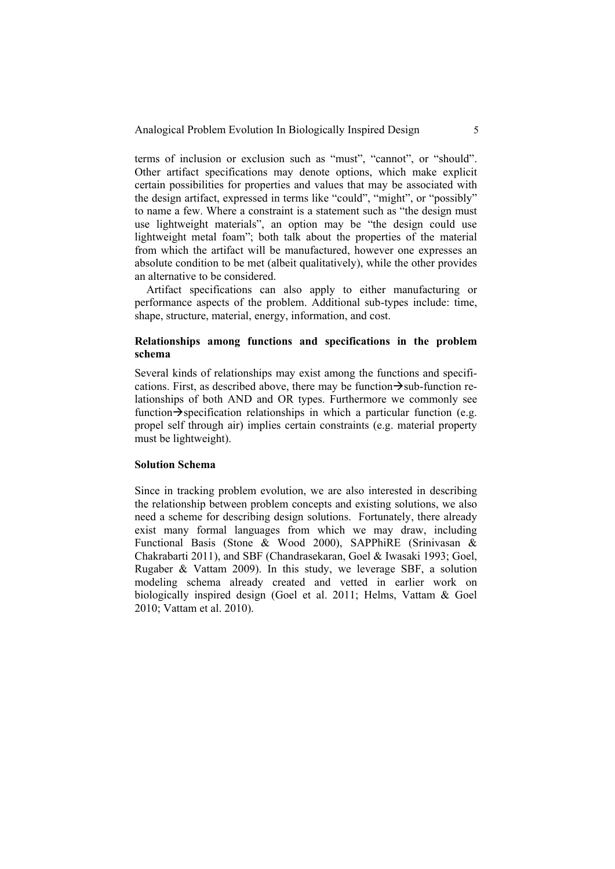terms of inclusion or exclusion such as "must", "cannot", or "should". Other artifact specifications may denote options, which make explicit certain possibilities for properties and values that may be associated with the design artifact, expressed in terms like "could", "might", or "possibly" to name a few. Where a constraint is a statement such as "the design must use lightweight materials", an option may be "the design could use lightweight metal foam"; both talk about the properties of the material from which the artifact will be manufactured, however one expresses an absolute condition to be met (albeit qualitatively), while the other provides an alternative to be considered.

Artifact specifications can also apply to either manufacturing or performance aspects of the problem. Additional sub-types include: time, shape, structure, material, energy, information, and cost.

## **Relationships among functions and specifications in the problem schema**

Several kinds of relationships may exist among the functions and specifications. First, as described above, there may be function  $\rightarrow$ sub-function relationships of both AND and OR types. Furthermore we commonly see function  $\rightarrow$  specification relationships in which a particular function (e.g. propel self through air) implies certain constraints (e.g. material property must be lightweight).

## **Solution Schema**

Since in tracking problem evolution, we are also interested in describing the relationship between problem concepts and existing solutions, we also need a scheme for describing design solutions. Fortunately, there already exist many formal languages from which we may draw, including Functional Basis (Stone & Wood 2000), SAPPhiRE (Srinivasan & Chakrabarti 2011), and SBF (Chandrasekaran, Goel & Iwasaki 1993; Goel, Rugaber & Vattam 2009). In this study, we leverage SBF, a solution modeling schema already created and vetted in earlier work on biologically inspired design (Goel et al. 2011; Helms, Vattam & Goel 2010; Vattam et al. 2010).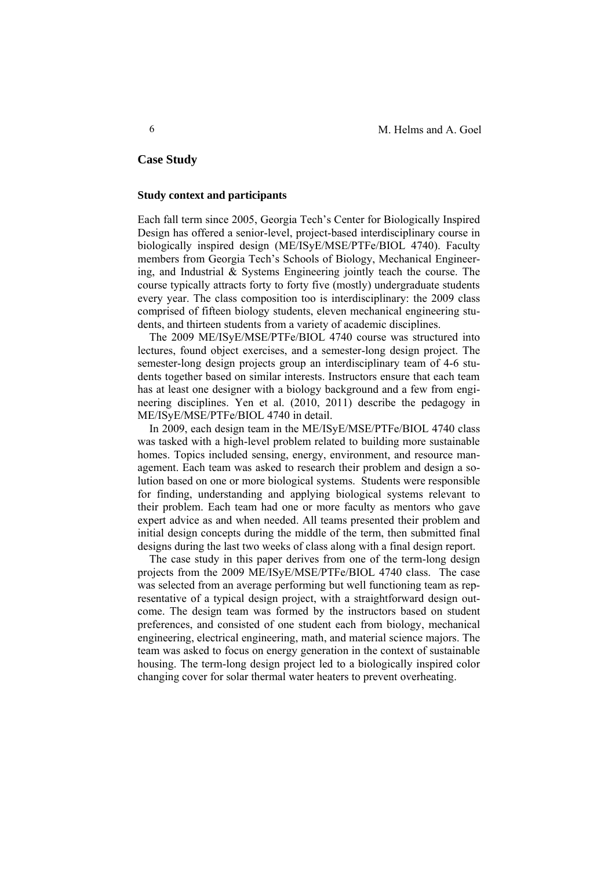## **Case Study**

#### **Study context and participants**

Each fall term since 2005, Georgia Tech's Center for Biologically Inspired Design has offered a senior-level, project-based interdisciplinary course in biologically inspired design (ME/ISyE/MSE/PTFe/BIOL 4740). Faculty members from Georgia Tech's Schools of Biology, Mechanical Engineering, and Industrial & Systems Engineering jointly teach the course. The course typically attracts forty to forty five (mostly) undergraduate students every year. The class composition too is interdisciplinary: the 2009 class comprised of fifteen biology students, eleven mechanical engineering students, and thirteen students from a variety of academic disciplines.

The 2009 ME/ISyE/MSE/PTFe/BIOL 4740 course was structured into lectures, found object exercises, and a semester-long design project. The semester-long design projects group an interdisciplinary team of 4-6 students together based on similar interests. Instructors ensure that each team has at least one designer with a biology background and a few from engineering disciplines. Yen et al. (2010, 2011) describe the pedagogy in ME/ISyE/MSE/PTFe/BIOL 4740 in detail.

In 2009, each design team in the ME/ISyE/MSE/PTFe/BIOL 4740 class was tasked with a high-level problem related to building more sustainable homes. Topics included sensing, energy, environment, and resource management. Each team was asked to research their problem and design a solution based on one or more biological systems. Students were responsible for finding, understanding and applying biological systems relevant to their problem. Each team had one or more faculty as mentors who gave expert advice as and when needed. All teams presented their problem and initial design concepts during the middle of the term, then submitted final designs during the last two weeks of class along with a final design report.

The case study in this paper derives from one of the term-long design projects from the 2009 ME/ISyE/MSE/PTFe/BIOL 4740 class. The case was selected from an average performing but well functioning team as representative of a typical design project, with a straightforward design outcome. The design team was formed by the instructors based on student preferences, and consisted of one student each from biology, mechanical engineering, electrical engineering, math, and material science majors. The team was asked to focus on energy generation in the context of sustainable housing. The term-long design project led to a biologically inspired color changing cover for solar thermal water heaters to prevent overheating.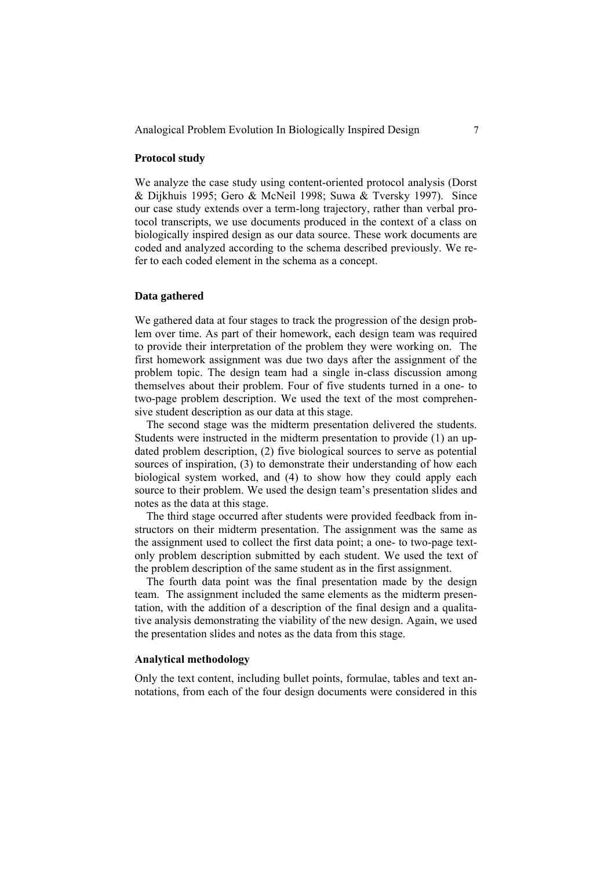## **Protocol study**

We analyze the case study using content-oriented protocol analysis (Dorst & Dijkhuis 1995; Gero & McNeil 1998; Suwa & Tversky 1997). Since our case study extends over a term-long trajectory, rather than verbal protocol transcripts, we use documents produced in the context of a class on biologically inspired design as our data source. These work documents are coded and analyzed according to the schema described previously. We refer to each coded element in the schema as a concept.

## **Data gathered**

We gathered data at four stages to track the progression of the design problem over time. As part of their homework, each design team was required to provide their interpretation of the problem they were working on. The first homework assignment was due two days after the assignment of the problem topic. The design team had a single in-class discussion among themselves about their problem. Four of five students turned in a one- to two-page problem description. We used the text of the most comprehensive student description as our data at this stage.

The second stage was the midterm presentation delivered the students. Students were instructed in the midterm presentation to provide (1) an updated problem description, (2) five biological sources to serve as potential sources of inspiration, (3) to demonstrate their understanding of how each biological system worked, and (4) to show how they could apply each source to their problem. We used the design team's presentation slides and notes as the data at this stage.

The third stage occurred after students were provided feedback from instructors on their midterm presentation. The assignment was the same as the assignment used to collect the first data point; a one- to two-page textonly problem description submitted by each student. We used the text of the problem description of the same student as in the first assignment.

The fourth data point was the final presentation made by the design team. The assignment included the same elements as the midterm presentation, with the addition of a description of the final design and a qualitative analysis demonstrating the viability of the new design. Again, we used the presentation slides and notes as the data from this stage.

## **Analytical methodology**

Only the text content, including bullet points, formulae, tables and text annotations, from each of the four design documents were considered in this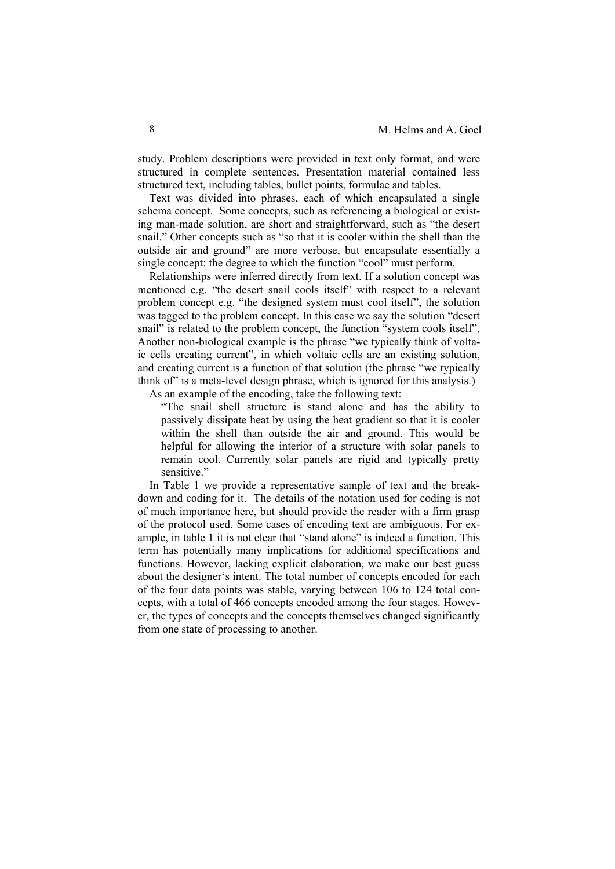study. Problem descriptions were provided in text only format, and were structured in complete sentences. Presentation material contained less structured text, including tables, bullet points, formulae and tables.

Text was divided into phrases, each of which encapsulated a single schema concept. Some concepts, such as referencing a biological or existing man-made solution, are short and straightforward, such as "the desert snail." Other concepts such as "so that it is cooler within the shell than the outside air and ground" are more verbose, but encapsulate essentially a single concept: the degree to which the function "cool" must perform.

Relationships were inferred directly from text. If a solution concept was mentioned e.g. "the desert snail cools itself" with respect to a relevant problem concept e.g. "the designed system must cool itself", the solution was tagged to the problem concept. In this case we say the solution "desert snail" is related to the problem concept, the function "system cools itself". Another non-biological example is the phrase "we typically think of voltaic cells creating current", in which voltaic cells are an existing solution, and creating current is a function of that solution (the phrase "we typically think of" is a meta-level design phrase, which is ignored for this analysis.)

As an example of the encoding, take the following text:

"The snail shell structure is stand alone and has the ability to passively dissipate heat by using the heat gradient so that it is cooler within the shell than outside the air and ground. This would be helpful for allowing the interior of a structure with solar panels to remain cool. Currently solar panels are rigid and typically pretty sensitive."

In Table 1 we provide a representative sample of text and the breakdown and coding for it. The details of the notation used for coding is not of much importance here, but should provide the reader with a firm grasp of the protocol used. Some cases of encoding text are ambiguous. For example, in table 1 it is not clear that "stand alone" is indeed a function. This term has potentially many implications for additional specifications and functions. However, lacking explicit elaboration, we make our best guess about the designer's intent. The total number of concepts encoded for each of the four data points was stable, varying between 106 to 124 total concepts, with a total of 466 concepts encoded among the four stages. However, the types of concepts and the concepts themselves changed significantly from one state of processing to another.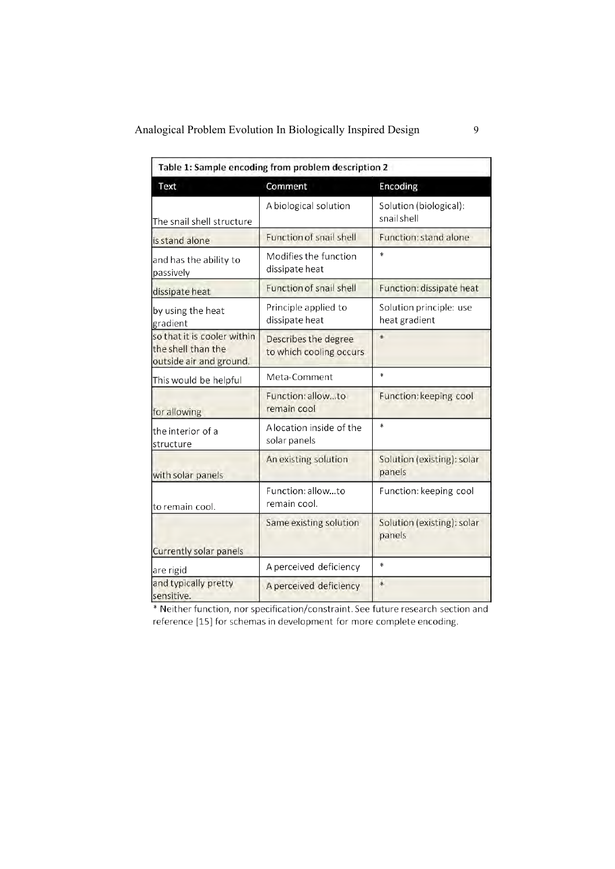| Table 1: Sample encoding from problem description 2                          |                                                 |                                          |  |  |
|------------------------------------------------------------------------------|-------------------------------------------------|------------------------------------------|--|--|
| Text                                                                         | Comment                                         | <b>Encoding</b>                          |  |  |
| The snail shell structure                                                    | A biological solution                           | Solution (biological):<br>snail shell    |  |  |
| is stand alone                                                               | Function of snail shell                         | Function: stand alone                    |  |  |
| and has the ability to<br>passively                                          | Modifies the function<br>dissipate heat         | $\ast$                                   |  |  |
| dissipate heat                                                               | Function of snail shell                         | Function: dissipate heat                 |  |  |
| by using the heat<br>gradient                                                | Principle applied to<br>dissipate heat          | Solution principle: use<br>heat gradient |  |  |
| so that it is cooler within<br>the shell than the<br>outside air and ground. | Describes the degree<br>to which cooling occurs | \$                                       |  |  |
| This would be helpful                                                        | Meta-Comment                                    | $\ast$                                   |  |  |
| for allowing                                                                 | Function: allowto<br>remain cool                | Function: keeping cool                   |  |  |
| the interior of a<br>structure                                               | A location inside of the<br>solar panels        | $\ast$                                   |  |  |
| with solar panels                                                            | An existing solution                            | Solution (existing): solar<br>panels     |  |  |
| to remain cool.                                                              | Function: allowto<br>remain cool.               | Function: keeping cool                   |  |  |
| Currently solar panels                                                       | Same existing solution                          | Solution (existing): solar<br>panels     |  |  |
| are rigid                                                                    | A perceived deficiency                          | $\ast$                                   |  |  |
| and typically pretty<br>sensitive.                                           | A perceived deficiency                          | *                                        |  |  |

\* Neither function, nor specification/constraint. See future research section and reference [15] for schemas in development for more complete encoding.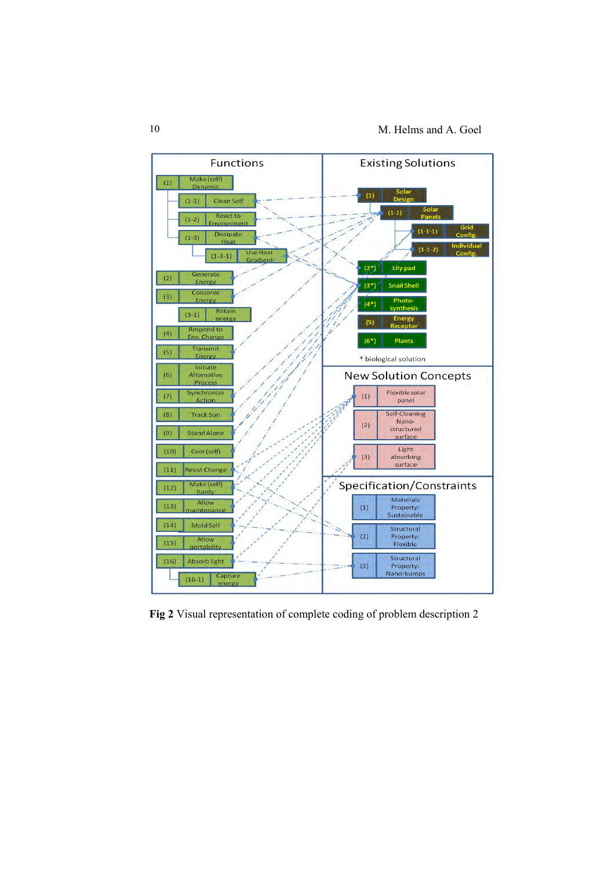

**Fig 2** Visual representation of complete coding of problem description 2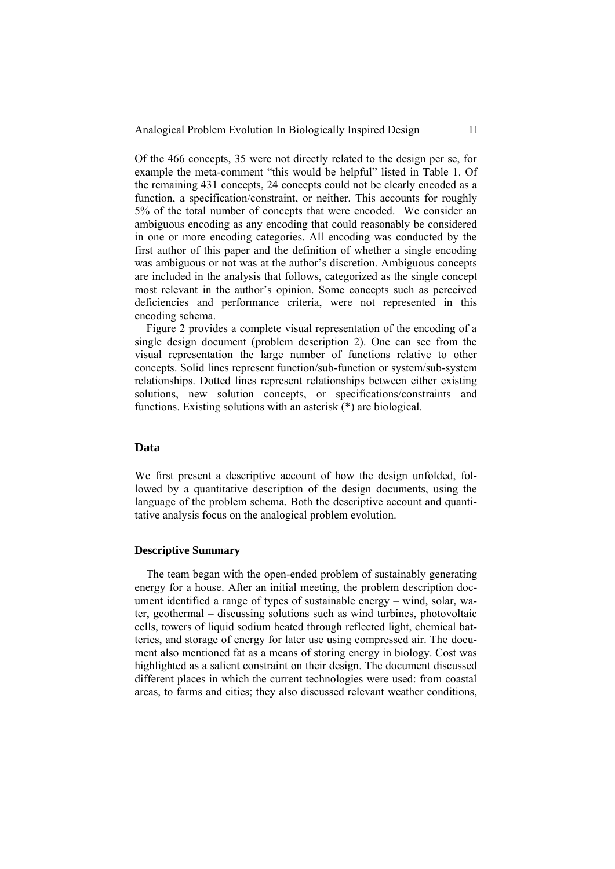Of the 466 concepts, 35 were not directly related to the design per se, for example the meta-comment "this would be helpful" listed in Table 1. Of the remaining 431 concepts, 24 concepts could not be clearly encoded as a function, a specification/constraint, or neither. This accounts for roughly 5% of the total number of concepts that were encoded. We consider an ambiguous encoding as any encoding that could reasonably be considered in one or more encoding categories. All encoding was conducted by the first author of this paper and the definition of whether a single encoding was ambiguous or not was at the author's discretion. Ambiguous concepts are included in the analysis that follows, categorized as the single concept most relevant in the author's opinion. Some concepts such as perceived deficiencies and performance criteria, were not represented in this encoding schema.

Figure 2 provides a complete visual representation of the encoding of a single design document (problem description 2). One can see from the visual representation the large number of functions relative to other concepts. Solid lines represent function/sub-function or system/sub-system relationships. Dotted lines represent relationships between either existing solutions, new solution concepts, or specifications/constraints and functions. Existing solutions with an asterisk (\*) are biological.

## **Data**

We first present a descriptive account of how the design unfolded, followed by a quantitative description of the design documents, using the language of the problem schema. Both the descriptive account and quantitative analysis focus on the analogical problem evolution.

#### **Descriptive Summary**

The team began with the open-ended problem of sustainably generating energy for a house. After an initial meeting, the problem description document identified a range of types of sustainable energy – wind, solar, water, geothermal – discussing solutions such as wind turbines, photovoltaic cells, towers of liquid sodium heated through reflected light, chemical batteries, and storage of energy for later use using compressed air. The document also mentioned fat as a means of storing energy in biology. Cost was highlighted as a salient constraint on their design. The document discussed different places in which the current technologies were used: from coastal areas, to farms and cities; they also discussed relevant weather conditions,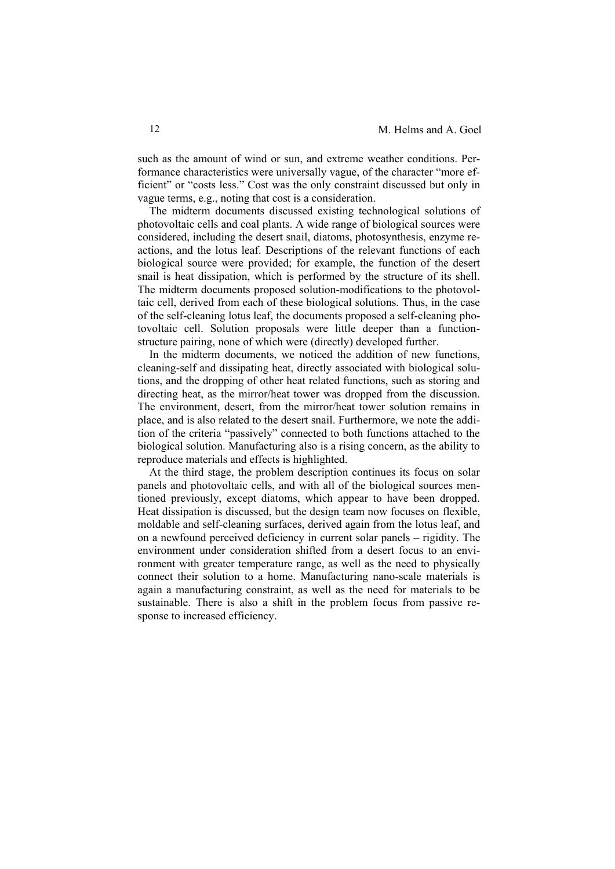such as the amount of wind or sun, and extreme weather conditions. Performance characteristics were universally vague, of the character "more efficient" or "costs less." Cost was the only constraint discussed but only in vague terms, e.g., noting that cost is a consideration.

The midterm documents discussed existing technological solutions of photovoltaic cells and coal plants. A wide range of biological sources were considered, including the desert snail, diatoms, photosynthesis, enzyme reactions, and the lotus leaf. Descriptions of the relevant functions of each biological source were provided; for example, the function of the desert snail is heat dissipation, which is performed by the structure of its shell. The midterm documents proposed solution-modifications to the photovoltaic cell, derived from each of these biological solutions. Thus, in the case of the self-cleaning lotus leaf, the documents proposed a self-cleaning photovoltaic cell. Solution proposals were little deeper than a functionstructure pairing, none of which were (directly) developed further.

In the midterm documents, we noticed the addition of new functions, cleaning-self and dissipating heat, directly associated with biological solutions, and the dropping of other heat related functions, such as storing and directing heat, as the mirror/heat tower was dropped from the discussion. The environment, desert, from the mirror/heat tower solution remains in place, and is also related to the desert snail. Furthermore, we note the addition of the criteria "passively" connected to both functions attached to the biological solution. Manufacturing also is a rising concern, as the ability to reproduce materials and effects is highlighted.

At the third stage, the problem description continues its focus on solar panels and photovoltaic cells, and with all of the biological sources mentioned previously, except diatoms, which appear to have been dropped. Heat dissipation is discussed, but the design team now focuses on flexible, moldable and self-cleaning surfaces, derived again from the lotus leaf, and on a newfound perceived deficiency in current solar panels – rigidity. The environment under consideration shifted from a desert focus to an environment with greater temperature range, as well as the need to physically connect their solution to a home. Manufacturing nano-scale materials is again a manufacturing constraint, as well as the need for materials to be sustainable. There is also a shift in the problem focus from passive response to increased efficiency.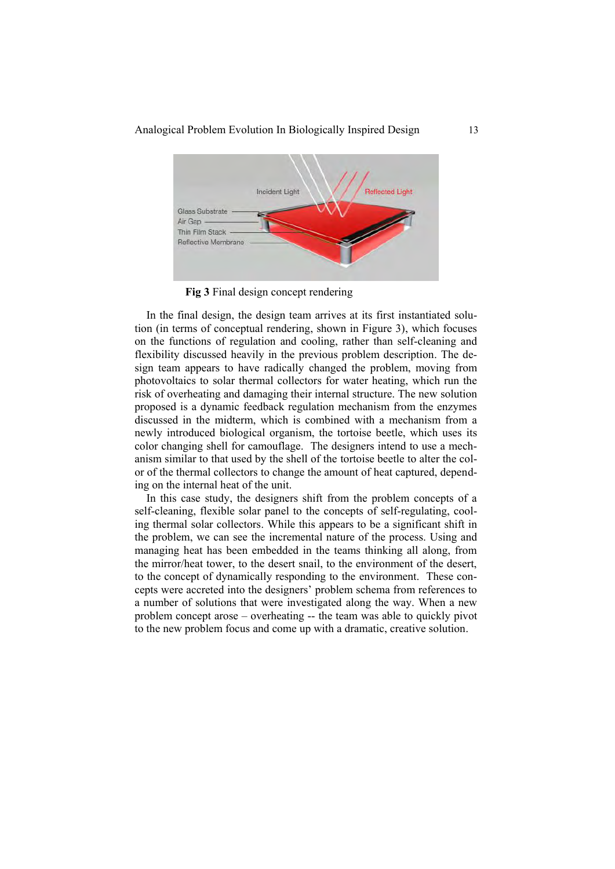

**Fig 3** Final design concept rendering

In the final design, the design team arrives at its first instantiated solution (in terms of conceptual rendering, shown in Figure 3), which focuses on the functions of regulation and cooling, rather than self-cleaning and flexibility discussed heavily in the previous problem description. The design team appears to have radically changed the problem, moving from photovoltaics to solar thermal collectors for water heating, which run the risk of overheating and damaging their internal structure. The new solution proposed is a dynamic feedback regulation mechanism from the enzymes discussed in the midterm, which is combined with a mechanism from a newly introduced biological organism, the tortoise beetle, which uses its color changing shell for camouflage. The designers intend to use a mechanism similar to that used by the shell of the tortoise beetle to alter the color of the thermal collectors to change the amount of heat captured, depending on the internal heat of the unit.

In this case study, the designers shift from the problem concepts of a self-cleaning, flexible solar panel to the concepts of self-regulating, cooling thermal solar collectors. While this appears to be a significant shift in the problem, we can see the incremental nature of the process. Using and managing heat has been embedded in the teams thinking all along, from the mirror/heat tower, to the desert snail, to the environment of the desert, to the concept of dynamically responding to the environment. These concepts were accreted into the designers' problem schema from references to a number of solutions that were investigated along the way. When a new problem concept arose – overheating -- the team was able to quickly pivot to the new problem focus and come up with a dramatic, creative solution.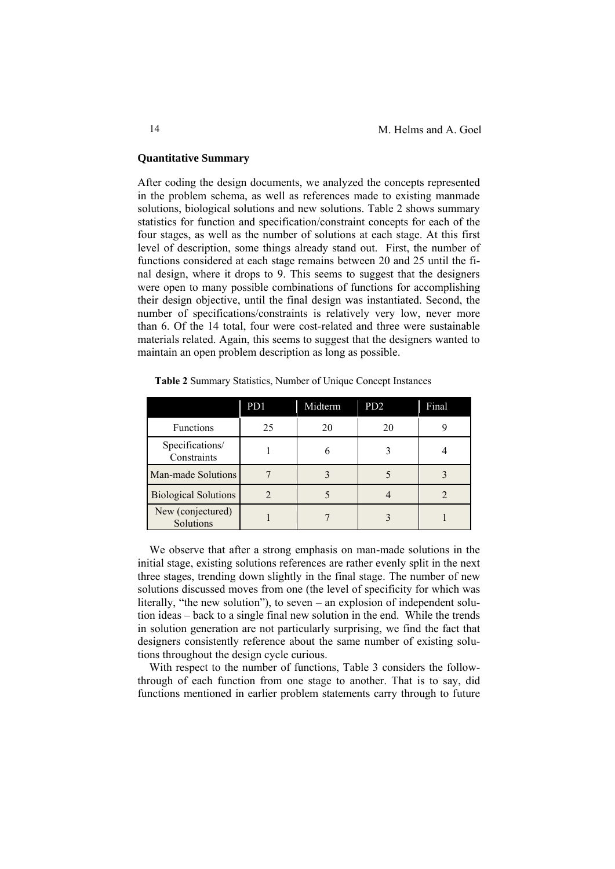## **Quantitative Summary**

After coding the design documents, we analyzed the concepts represented in the problem schema, as well as references made to existing manmade solutions, biological solutions and new solutions. Table 2 shows summary statistics for function and specification/constraint concepts for each of the four stages, as well as the number of solutions at each stage. At this first level of description, some things already stand out. First, the number of functions considered at each stage remains between 20 and 25 until the final design, where it drops to 9. This seems to suggest that the designers were open to many possible combinations of functions for accomplishing their design objective, until the final design was instantiated. Second, the number of specifications/constraints is relatively very low, never more than 6. Of the 14 total, four were cost-related and three were sustainable materials related. Again, this seems to suggest that the designers wanted to maintain an open problem description as long as possible.

|                                | PD1 | Midterm | PD <sub>2</sub> | Final |
|--------------------------------|-----|---------|-----------------|-------|
| Functions                      | 25  | 20      | 20              |       |
| Specifications/<br>Constraints |     |         |                 |       |
| Man-made Solutions             |     |         |                 |       |
| <b>Biological Solutions</b>    |     |         |                 |       |
| New (conjectured)<br>Solutions |     |         |                 |       |

**Table 2** Summary Statistics, Number of Unique Concept Instances

We observe that after a strong emphasis on man-made solutions in the initial stage, existing solutions references are rather evenly split in the next three stages, trending down slightly in the final stage. The number of new solutions discussed moves from one (the level of specificity for which was literally, "the new solution"), to seven – an explosion of independent solution ideas – back to a single final new solution in the end. While the trends in solution generation are not particularly surprising, we find the fact that designers consistently reference about the same number of existing solutions throughout the design cycle curious.

With respect to the number of functions, Table 3 considers the followthrough of each function from one stage to another. That is to say, did functions mentioned in earlier problem statements carry through to future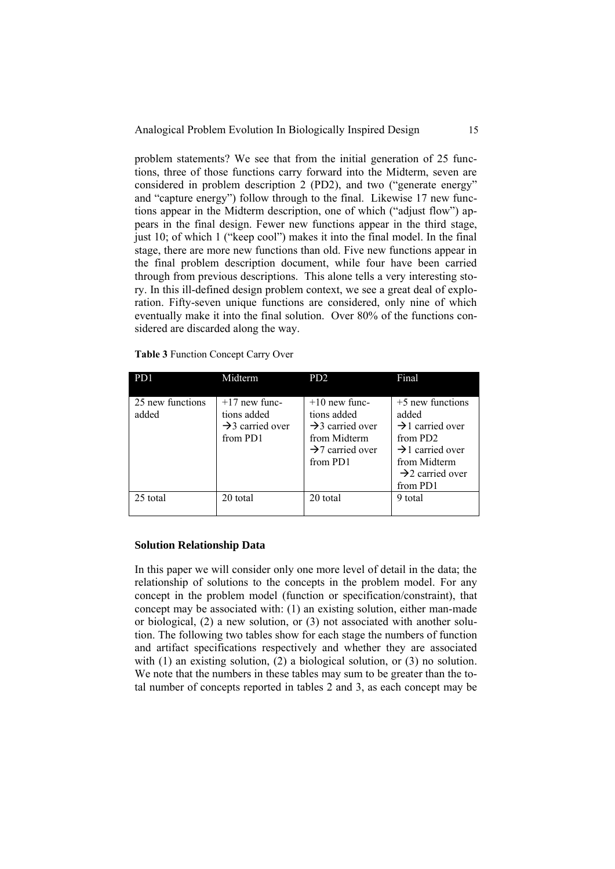problem statements? We see that from the initial generation of 25 functions, three of those functions carry forward into the Midterm, seven are considered in problem description 2 (PD2), and two ("generate energy" and "capture energy") follow through to the final. Likewise 17 new functions appear in the Midterm description, one of which ("adjust flow") appears in the final design. Fewer new functions appear in the third stage, just 10; of which 1 ("keep cool") makes it into the final model. In the final stage, there are more new functions than old. Five new functions appear in the final problem description document, while four have been carried through from previous descriptions. This alone tells a very interesting story. In this ill-defined design problem context, we see a great deal of exploration. Fifty-seven unique functions are considered, only nine of which eventually make it into the final solution. Over 80% of the functions considered are discarded along the way.

| PD1                       | Midterm                                                                    | PD <sub>2</sub>                                                                                                            | Final                                                                                                                                                                           |
|---------------------------|----------------------------------------------------------------------------|----------------------------------------------------------------------------------------------------------------------------|---------------------------------------------------------------------------------------------------------------------------------------------------------------------------------|
| 25 new functions<br>added | $+17$ new func-<br>tions added<br>$\rightarrow$ 3 carried over<br>from PD1 | $+10$ new func-<br>tions added<br>$\rightarrow$ 3 carried over<br>from Midterm<br>$\rightarrow$ 7 carried over<br>from PD1 | $+5$ new functions<br>added<br>$\rightarrow$ 1 carried over<br>from PD <sub>2</sub><br>$\rightarrow$ 1 carried over<br>from Midterm<br>$\rightarrow$ 2 carried over<br>from PD1 |
| 25 total                  | 20 total                                                                   | 20 total                                                                                                                   | 9 total                                                                                                                                                                         |

**Table 3** Function Concept Carry Over

## **Solution Relationship Data**

In this paper we will consider only one more level of detail in the data; the relationship of solutions to the concepts in the problem model. For any concept in the problem model (function or specification/constraint), that concept may be associated with: (1) an existing solution, either man-made or biological, (2) a new solution, or (3) not associated with another solution. The following two tables show for each stage the numbers of function and artifact specifications respectively and whether they are associated with (1) an existing solution, (2) a biological solution, or (3) no solution. We note that the numbers in these tables may sum to be greater than the total number of concepts reported in tables 2 and 3, as each concept may be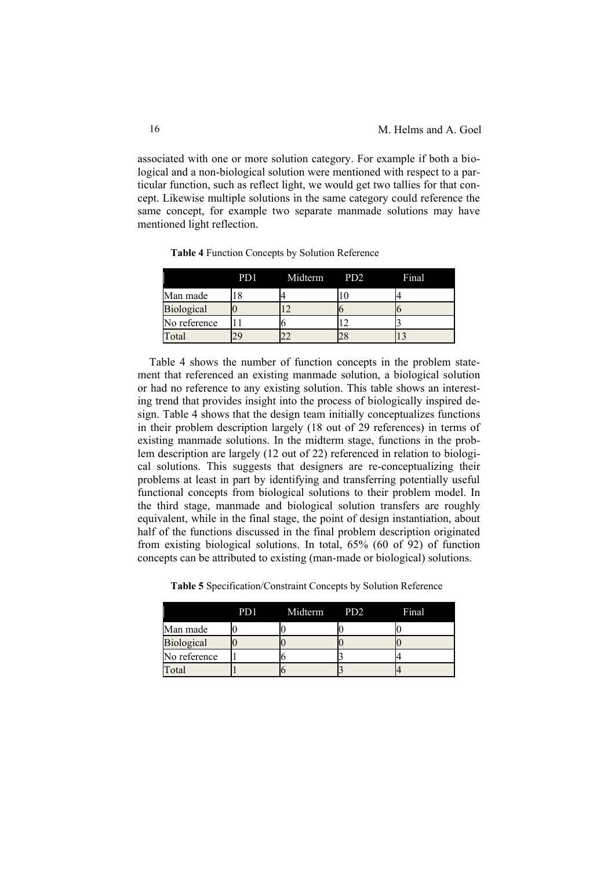associated with one or more solution category. For example if both a biological and a non-biological solution were mentioned with respect to a particular function, such as reflect light, we would get two tallies for that concept. Likewise multiple solutions in the same category could reference the same concept, for example two separate manmade solutions may have mentioned light reflection.

|              | PD1 | Midterm | PD <sub>2</sub> | Final |
|--------------|-----|---------|-----------------|-------|
| Man made     |     |         |                 |       |
| Biological   |     |         |                 |       |
| No reference |     |         |                 |       |
| Total        |     |         | 28              |       |

**Table 4** Function Concepts by Solution Reference

Table 4 shows the number of function concepts in the problem statement that referenced an existing manmade solution, a biological solution or had no reference to any existing solution. This table shows an interesting trend that provides insight into the process of biologically inspired design. Table 4 shows that the design team initially conceptualizes functions in their problem description largely (18 out of 29 references) in terms of existing manmade solutions. In the midterm stage, functions in the problem description are largely (12 out of 22) referenced in relation to biological solutions. This suggests that designers are re-conceptualizing their problems at least in part by identifying and transferring potentially useful functional concepts from biological solutions to their problem model. In the third stage, manmade and biological solution transfers are roughly equivalent, while in the final stage, the point of design instantiation, about half of the functions discussed in the final problem description originated from existing biological solutions. In total, 65% (60 of 92) of function concepts can be attributed to existing (man-made or biological) solutions.

| Table 5 Specification/Constraint Concepts by Solution Reference |  |
|-----------------------------------------------------------------|--|
|-----------------------------------------------------------------|--|

|                   | PD1 Midterm | PD <sub>2</sub> | Final |
|-------------------|-------------|-----------------|-------|
| Man made          |             |                 |       |
| <b>Biological</b> |             |                 |       |
| No reference      |             |                 |       |
| Total             |             |                 |       |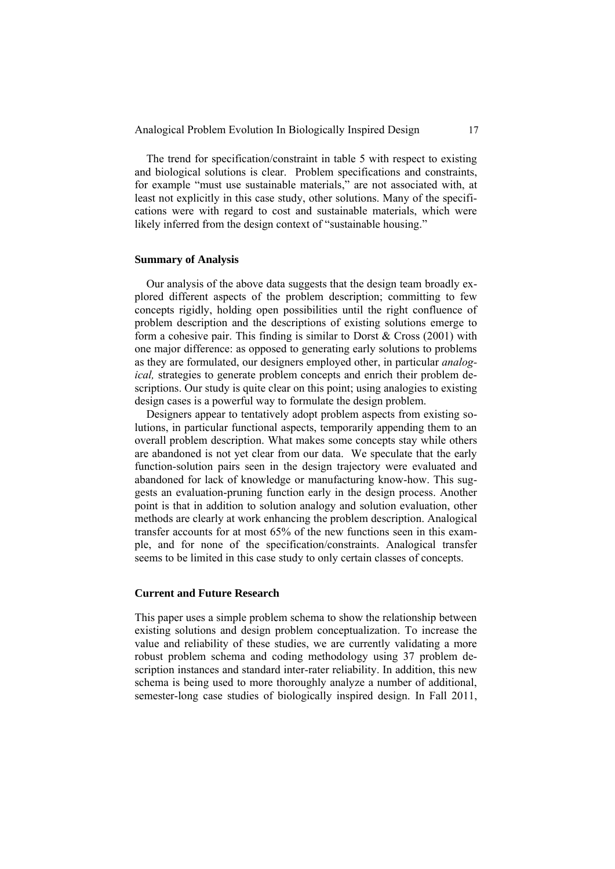The trend for specification/constraint in table 5 with respect to existing and biological solutions is clear. Problem specifications and constraints, for example "must use sustainable materials," are not associated with, at least not explicitly in this case study, other solutions. Many of the specifications were with regard to cost and sustainable materials, which were likely inferred from the design context of "sustainable housing."

## **Summary of Analysis**

Our analysis of the above data suggests that the design team broadly explored different aspects of the problem description; committing to few concepts rigidly, holding open possibilities until the right confluence of problem description and the descriptions of existing solutions emerge to form a cohesive pair. This finding is similar to Dorst & Cross (2001) with one major difference: as opposed to generating early solutions to problems as they are formulated, our designers employed other, in particular *analogical*, strategies to generate problem concepts and enrich their problem descriptions. Our study is quite clear on this point; using analogies to existing design cases is a powerful way to formulate the design problem.

Designers appear to tentatively adopt problem aspects from existing solutions, in particular functional aspects, temporarily appending them to an overall problem description. What makes some concepts stay while others are abandoned is not yet clear from our data. We speculate that the early function-solution pairs seen in the design trajectory were evaluated and abandoned for lack of knowledge or manufacturing know-how. This suggests an evaluation-pruning function early in the design process. Another point is that in addition to solution analogy and solution evaluation, other methods are clearly at work enhancing the problem description. Analogical transfer accounts for at most 65% of the new functions seen in this example, and for none of the specification/constraints. Analogical transfer seems to be limited in this case study to only certain classes of concepts.

## **Current and Future Research**

This paper uses a simple problem schema to show the relationship between existing solutions and design problem conceptualization. To increase the value and reliability of these studies, we are currently validating a more robust problem schema and coding methodology using 37 problem description instances and standard inter-rater reliability. In addition, this new schema is being used to more thoroughly analyze a number of additional, semester-long case studies of biologically inspired design. In Fall 2011,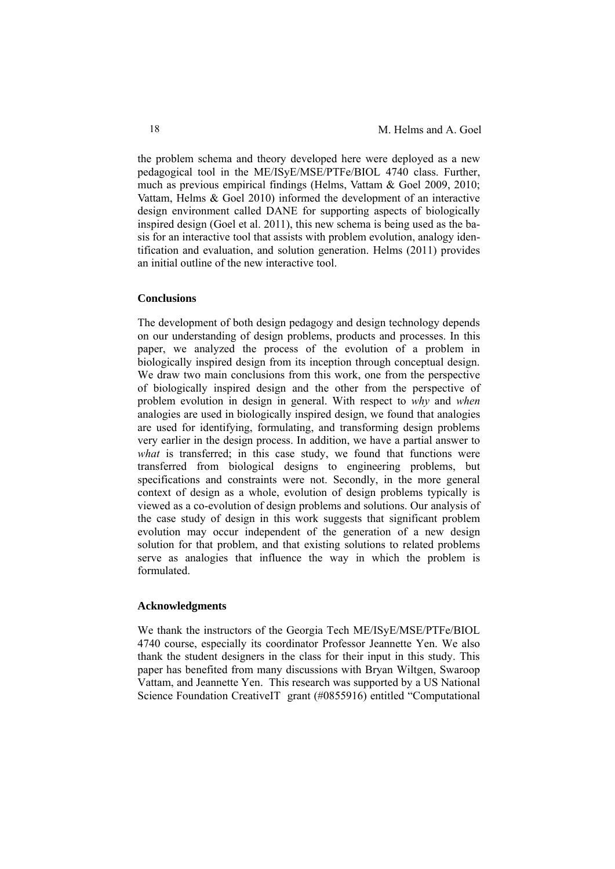the problem schema and theory developed here were deployed as a new pedagogical tool in the ME/ISyE/MSE/PTFe/BIOL 4740 class. Further, much as previous empirical findings (Helms, Vattam & Goel 2009, 2010; Vattam, Helms & Goel 2010) informed the development of an interactive design environment called DANE for supporting aspects of biologically inspired design (Goel et al. 2011), this new schema is being used as the basis for an interactive tool that assists with problem evolution, analogy identification and evaluation, and solution generation. Helms (2011) provides an initial outline of the new interactive tool.

## **Conclusions**

The development of both design pedagogy and design technology depends on our understanding of design problems, products and processes. In this paper, we analyzed the process of the evolution of a problem in biologically inspired design from its inception through conceptual design. We draw two main conclusions from this work, one from the perspective of biologically inspired design and the other from the perspective of problem evolution in design in general. With respect to *why* and *when*  analogies are used in biologically inspired design, we found that analogies are used for identifying, formulating, and transforming design problems very earlier in the design process. In addition, we have a partial answer to *what* is transferred; in this case study, we found that functions were transferred from biological designs to engineering problems, but specifications and constraints were not. Secondly, in the more general context of design as a whole, evolution of design problems typically is viewed as a co-evolution of design problems and solutions. Our analysis of the case study of design in this work suggests that significant problem evolution may occur independent of the generation of a new design solution for that problem, and that existing solutions to related problems serve as analogies that influence the way in which the problem is formulated.

## **Acknowledgments**

We thank the instructors of the Georgia Tech ME/ISyE/MSE/PTFe/BIOL 4740 course, especially its coordinator Professor Jeannette Yen. We also thank the student designers in the class for their input in this study. This paper has benefited from many discussions with Bryan Wiltgen, Swaroop Vattam, and Jeannette Yen. This research was supported by a US National Science Foundation CreativeIT grant (#0855916) entitled "Computational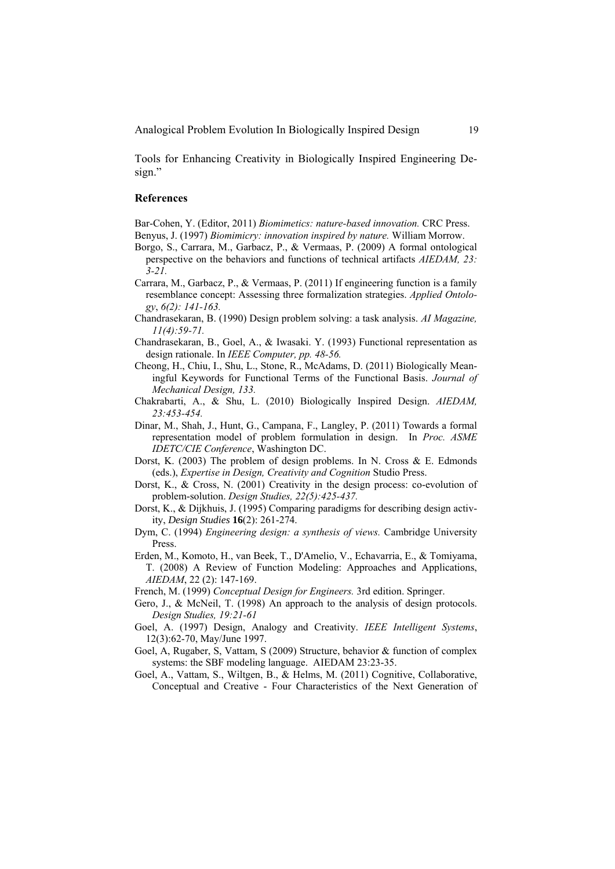Tools for Enhancing Creativity in Biologically Inspired Engineering Design."

## **References**

Bar-Cohen, Y. (Editor, 2011) *Biomimetics: nature-based innovation.* CRC Press. Benyus, J. (1997) *Biomimicry: innovation inspired by nature.* William Morrow.

- Borgo, S., Carrara, M., Garbacz, P., & Vermaas, P. (2009) A formal ontological perspective on the behaviors and functions of technical artifacts *AIEDAM, 23: 3-21.*
- Carrara, M., Garbacz, P., & Vermaas, P. (2011) If engineering function is a family resemblance concept: Assessing three formalization strategies. *Applied Ontology*, *6(2): 141-163.*
- Chandrasekaran, B. (1990) Design problem solving: a task analysis. *AI Magazine, 11(4):59-71.*
- Chandrasekaran, B., Goel, A., & Iwasaki. Y. (1993) Functional representation as design rationale. In *IEEE Computer, pp. 48-56.*
- Cheong, H., Chiu, I., Shu, L., Stone, R., McAdams, D. (2011) Biologically Meaningful Keywords for Functional Terms of the Functional Basis. *Journal of Mechanical Design, 133.*
- Chakrabarti, A., & Shu, L. (2010) Biologically Inspired Design. *AIEDAM, 23:453-454.*
- Dinar, M., Shah, J., Hunt, G., Campana, F., Langley, P. (2011) Towards a formal representation model of problem formulation in design. In *Proc. ASME IDETC/CIE Conference*, Washington DC.
- Dorst, K. (2003) The problem of design problems. In N. Cross & E. Edmonds (eds.), *Expertise in Design, Creativity and Cognition* Studio Press.
- Dorst, K., & Cross, N. (2001) Creativity in the design process: co-evolution of problem-solution. *Design Studies, 22(5):425-437.*
- Dorst, K., & Dijkhuis, J. (1995) Comparing paradigms for describing design activity, *Design Studies* **16**(2): 261-274.
- Dym, C. (1994) *Engineering design: a synthesis of views.* Cambridge University Press.
- Erden, M., Komoto, H., van Beek, T., D'Amelio, V., Echavarria, E., & Tomiyama, T. (2008) A Review of Function Modeling: Approaches and Applications, *AIEDAM*, 22 (2): 147-169.
- French, M. (1999) *Conceptual Design for Engineers.* 3rd edition. Springer.
- Gero, J., & McNeil, T. (1998) An approach to the analysis of design protocols. *Design Studies, 19:21-61*
- Goel, A. (1997) Design, Analogy and Creativity. *IEEE Intelligent Systems*, 12(3):62-70, May/June 1997.
- Goel, A, Rugaber, S, Vattam, S (2009) Structure, behavior & function of complex systems: the SBF modeling language. AIEDAM 23:23-35.
- Goel, A., Vattam, S., Wiltgen, B., & Helms, M. (2011) Cognitive, Collaborative, Conceptual and Creative - Four Characteristics of the Next Generation of